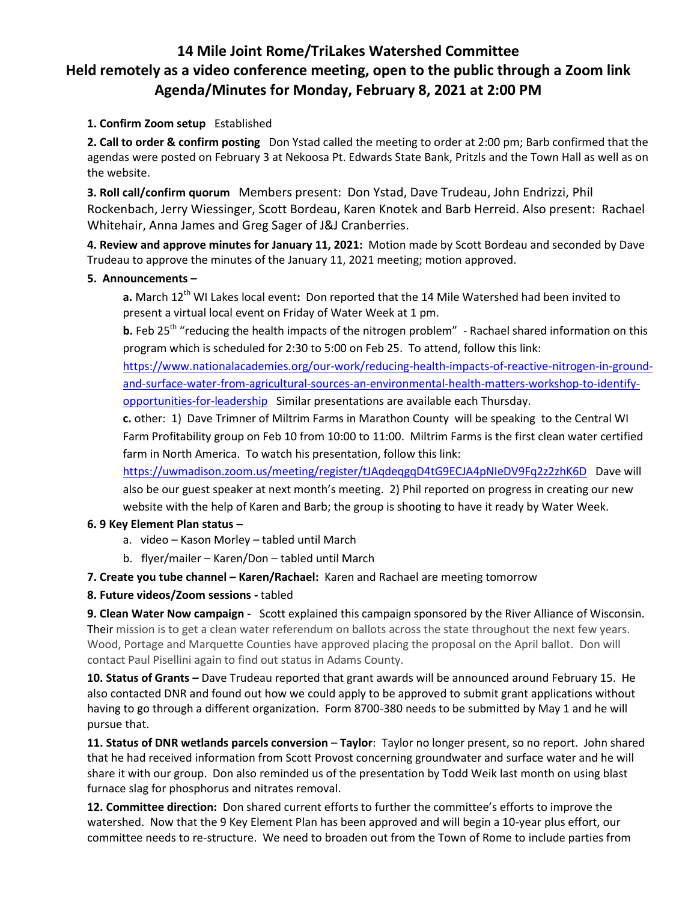# **14 Mile Joint Rome/TriLakes Watershed Committee Held remotely as a video conference meeting, open to the public through a Zoom link Agenda/Minutes for Monday, February 8, 2021 at 2:00 PM**

## **1. Confirm Zoom setup** Established

**2. Call to order & confirm posting** Don Ystad called the meeting to order at 2:00 pm; Barb confirmed that the agendas were posted on February 3 at Nekoosa Pt. Edwards State Bank, Pritzls and the Town Hall as well as on the website.

**3. Roll call/confirm quorum** Members present: Don Ystad, Dave Trudeau, John Endrizzi, Phil Rockenbach, Jerry Wiessinger, Scott Bordeau, Karen Knotek and Barb Herreid. Also present: Rachael Whitehair, Anna James and Greg Sager of J&J Cranberries.

**4. Review and approve minutes for January 11, 2021:** Motion made by Scott Bordeau and seconded by Dave Trudeau to approve the minutes of the January 11, 2021 meeting; motion approved.

### **5. Announcements –**

a. March 12<sup>th</sup> WI Lakes local event: Don reported that the 14 Mile Watershed had been invited to present a virtual local event on Friday of Water Week at 1 pm.

**b.** Feb 25<sup>th</sup> "reducing the health impacts of the nitrogen problem" - Rachael shared information on this program which is scheduled for 2:30 to 5:00 on Feb 25. To attend, follow this link:

[https://www.nationalacademies.org/our-work/reducing-health-impacts-of-reactive-nitrogen-in-ground](https://www.nationalacademies.org/our-work/reducing-health-impacts-of-reactive-nitrogen-in-ground-and-surface-water-from-agricultural-sources-an-environmental-health-matters-workshop-to-identify-opportunities-for-leadership)[and-surface-water-from-agricultural-sources-an-environmental-health-matters-workshop-to-identify](https://www.nationalacademies.org/our-work/reducing-health-impacts-of-reactive-nitrogen-in-ground-and-surface-water-from-agricultural-sources-an-environmental-health-matters-workshop-to-identify-opportunities-for-leadership)[opportunities-for-leadership](https://www.nationalacademies.org/our-work/reducing-health-impacts-of-reactive-nitrogen-in-ground-and-surface-water-from-agricultural-sources-an-environmental-health-matters-workshop-to-identify-opportunities-for-leadership) Similar presentations are available each Thursday.

**c.** other: 1) Dave Trimner of Miltrim Farms in Marathon County will be speaking to the Central WI Farm Profitability group on Feb 10 from 10:00 to 11:00. Miltrim Farms is the first clean water certified farm in North America. To watch his presentation, follow this link:

<https://uwmadison.zoom.us/meeting/register/tJAqdeqgqD4tG9ECJA4pNIeDV9Fq2z2zhK6D>Dave will also be our guest speaker at next month's meeting. 2) Phil reported on progress in creating our new website with the help of Karen and Barb; the group is shooting to have it ready by Water Week.

### **6. 9 Key Element Plan status –**

- a. video Kason Morley tabled until March
- b. flyer/mailer Karen/Don tabled until March

### **7. Create you tube channel – Karen/Rachael:** Karen and Rachael are meeting tomorrow

### **8. Future videos/Zoom sessions -** tabled

**9. Clean Water Now campaign -** Scott explained this campaign sponsored by the River Alliance of Wisconsin. Their mission is to get a clean water referendum on ballots across the state throughout the next few years. Wood, Portage and Marquette Counties have approved placing the proposal on the April ballot. Don will contact Paul Pisellini again to find out status in Adams County.

**10. Status of Grants –** Dave Trudeau reported that grant awards will be announced around February 15. He also contacted DNR and found out how we could apply to be approved to submit grant applications without having to go through a different organization. Form 8700-380 needs to be submitted by May 1 and he will pursue that.

**11. Status of DNR wetlands parcels conversion** – **Taylor**: Taylor no longer present, so no report. John shared that he had received information from Scott Provost concerning groundwater and surface water and he will share it with our group. Don also reminded us of the presentation by Todd Weik last month on using blast furnace slag for phosphorus and nitrates removal.

**12. Committee direction:** Don shared current efforts to further the committee's efforts to improve the watershed. Now that the 9 Key Element Plan has been approved and will begin a 10-year plus effort, our committee needs to re-structure. We need to broaden out from the Town of Rome to include parties from